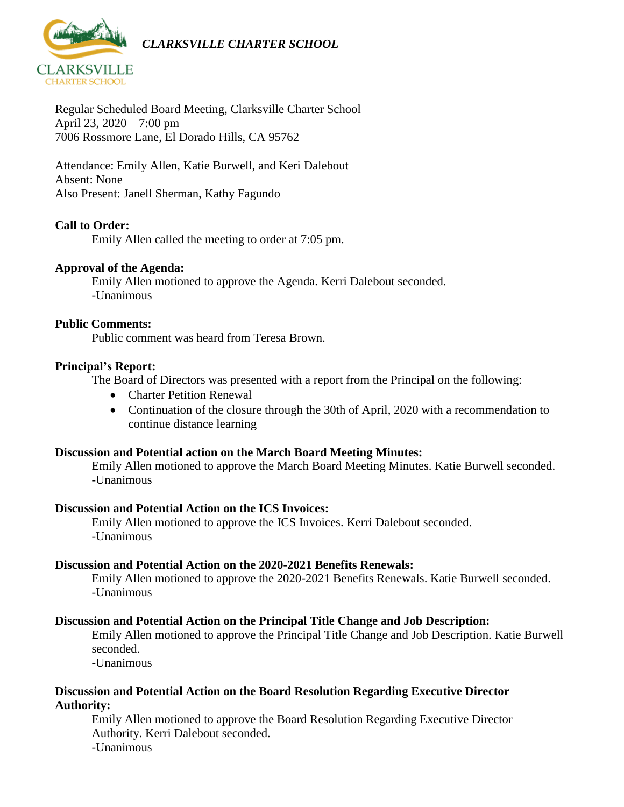

Regular Scheduled Board Meeting, Clarksville Charter School April 23, 2020 – 7:00 pm 7006 Rossmore Lane, El Dorado Hills, CA 95762

Attendance: Emily Allen, Katie Burwell, and Keri Dalebout Absent: None Also Present: Janell Sherman, Kathy Fagundo

#### **Call to Order:**

Emily Allen called the meeting to order at 7:05 pm.

#### **Approval of the Agenda:**

Emily Allen motioned to approve the Agenda. Kerri Dalebout seconded. -Unanimous

#### **Public Comments:**

Public comment was heard from Teresa Brown.

#### **Principal's Report:**

The Board of Directors was presented with a report from the Principal on the following:

- Charter Petition Renewal
- Continuation of the closure through the 30th of April, 2020 with a recommendation to continue distance learning

#### **Discussion and Potential action on the March Board Meeting Minutes:**

Emily Allen motioned to approve the March Board Meeting Minutes. Katie Burwell seconded. -Unanimous

#### **Discussion and Potential Action on the ICS Invoices:**

Emily Allen motioned to approve the ICS Invoices. Kerri Dalebout seconded. -Unanimous

#### **Discussion and Potential Action on the 2020-2021 Benefits Renewals:**

Emily Allen motioned to approve the 2020-2021 Benefits Renewals. Katie Burwell seconded. -Unanimous

#### **Discussion and Potential Action on the Principal Title Change and Job Description:**

Emily Allen motioned to approve the Principal Title Change and Job Description. Katie Burwell seconded.

-Unanimous

#### **Discussion and Potential Action on the Board Resolution Regarding Executive Director Authority:**

Emily Allen motioned to approve the Board Resolution Regarding Executive Director Authority. Kerri Dalebout seconded. -Unanimous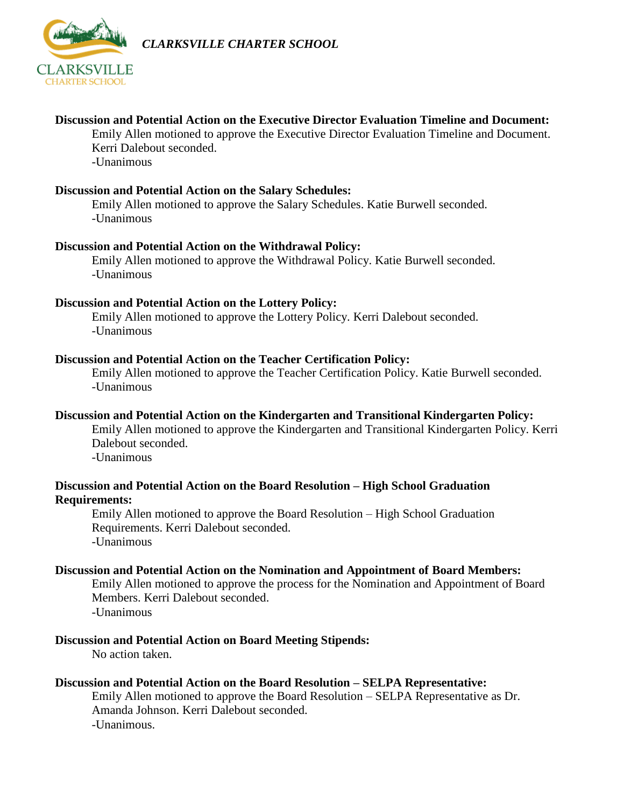

*CLARKSVILLE CHARTER SCHOOL*

#### **Discussion and Potential Action on the Executive Director Evaluation Timeline and Document:**

Emily Allen motioned to approve the Executive Director Evaluation Timeline and Document. Kerri Dalebout seconded. -Unanimous

#### **Discussion and Potential Action on the Salary Schedules:**

Emily Allen motioned to approve the Salary Schedules. Katie Burwell seconded. -Unanimous

#### **Discussion and Potential Action on the Withdrawal Policy:**

Emily Allen motioned to approve the Withdrawal Policy. Katie Burwell seconded. -Unanimous

#### **Discussion and Potential Action on the Lottery Policy:**

Emily Allen motioned to approve the Lottery Policy. Kerri Dalebout seconded. -Unanimous

#### **Discussion and Potential Action on the Teacher Certification Policy:**

Emily Allen motioned to approve the Teacher Certification Policy. Katie Burwell seconded. -Unanimous

### **Discussion and Potential Action on the Kindergarten and Transitional Kindergarten Policy:**

Emily Allen motioned to approve the Kindergarten and Transitional Kindergarten Policy. Kerri Dalebout seconded.

-Unanimous

#### **Discussion and Potential Action on the Board Resolution – High School Graduation Requirements:**

Emily Allen motioned to approve the Board Resolution – High School Graduation Requirements. Kerri Dalebout seconded. -Unanimous

#### **Discussion and Potential Action on the Nomination and Appointment of Board Members:**

Emily Allen motioned to approve the process for the Nomination and Appointment of Board Members. Kerri Dalebout seconded. -Unanimous

**Discussion and Potential Action on Board Meeting Stipends:** 

No action taken.

#### **Discussion and Potential Action on the Board Resolution – SELPA Representative:**

Emily Allen motioned to approve the Board Resolution – SELPA Representative as Dr. Amanda Johnson. Kerri Dalebout seconded. -Unanimous.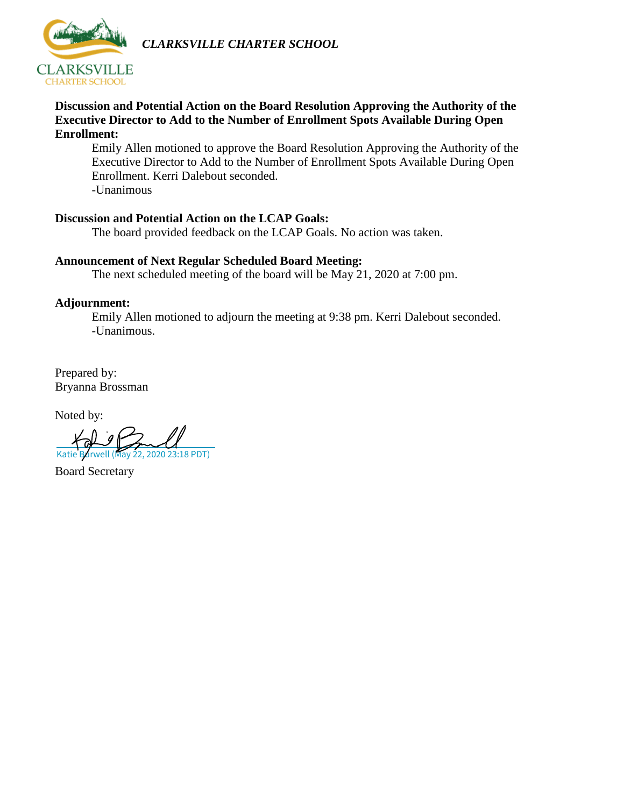

*CLARKSVILLE CHARTER SCHOOL*

#### **Discussion and Potential Action on the Board Resolution Approving the Authority of the Executive Director to Add to the Number of Enrollment Spots Available During Open Enrollment:**

Emily Allen motioned to approve the Board Resolution Approving the Authority of the Executive Director to Add to the Number of Enrollment Spots Available During Open Enrollment. Kerri Dalebout seconded. -Unanimous

#### **Discussion and Potential Action on the LCAP Goals:**

The board provided feedback on the LCAP Goals. No action was taken.

## **Announcement of Next Regular Scheduled Board Meeting:**

The next scheduled meeting of the board will be May 21, 2020 at 7:00 pm.

#### **Adjournment:**

Emily Allen motioned to adjourn the meeting at 9:38 pm. Kerri Dalebout seconded. -Unanimous.

Prepared by: Bryanna Brossman

Noted by:

**Katie Barwell (May 22, 2020 23:18 PDT)** 

Board Secretary